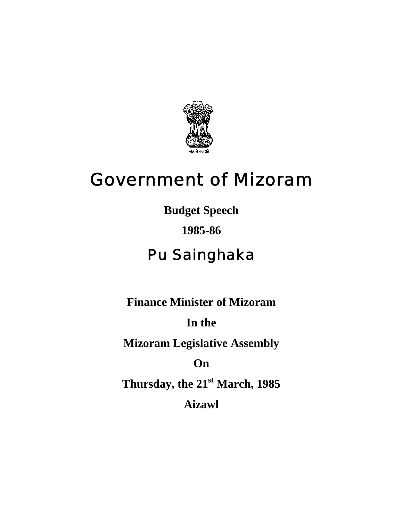

# Government of Mizoram

**Budget Speech** 

# **1985-86**

# Pu Sainghaka

**Finance Minister of Mizoram** 

**In the** 

**Mizoram Legislative Assembly** 

**On** 

**Thursday, the 21st March, 1985 Aizawl**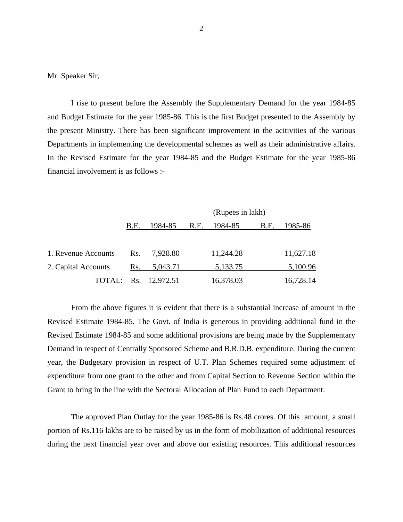Mr. Speaker Sir,

 I rise to present before the Assembly the Supplementary Demand for the year 1984-85 and Budget Estimate for the year 1985-86. This is the first Budget presented to the Assembly by the present Ministry. There has been significant improvement in the acitivities of the various Departments in implementing the developmental schemes as well as their administrative affairs. In the Revised Estimate for the year 1984-85 and the Budget Estimate for the year 1985-86 financial involvement is as follows :-

|                     |      |                      |      | (Rupees in lakh) |      |           |
|---------------------|------|----------------------|------|------------------|------|-----------|
|                     | B.E. | 1984-85              | R.E. | 1984-85          | B.E. | 1985-86   |
|                     |      |                      |      |                  |      |           |
| 1. Revenue Accounts | Rs.  | 7,928.80             |      | 11,244.28        |      | 11,627.18 |
| 2. Capital Accounts | Rs.  | 5,043.71             |      | 5,133.75         |      | 5,100.96  |
|                     |      | TOTAL: Rs. 12,972.51 |      | 16,378.03        |      | 16,728.14 |

 From the above figures it is evident that there is a substantial increase of amount in the Revised Estimate 1984-85. The Govt. of India is generous in providing additional fund in the Revised Estimate 1984-85 and some additional provisions are being made by the Supplementary Demand in respect of Centrally Sponsored Scheme and B.R.D.B. expenditure. During the current year, the Budgetary provision in respect of U.T. Plan Schemes required some adjustment of expenditure from one grant to the other and from Capital Section to Revenue Section within the Grant to bring in the line with the Sectoral Allocation of Plan Fund to each Department.

The approved Plan Outlay for the year 1985-86 is Rs.48 crores. Of this amount, a small portion of Rs.116 lakhs are to be raised by us in the form of mobilization of additional resources during the next financial year over and above our existing resources. This additional resources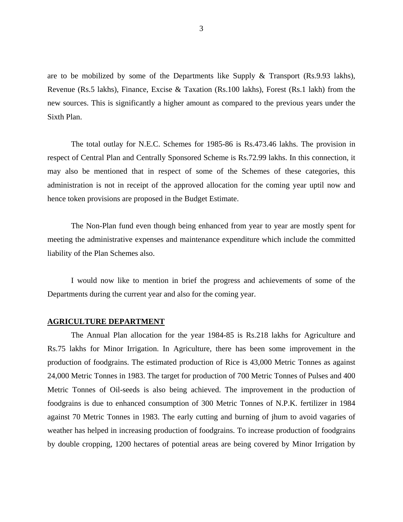are to be mobilized by some of the Departments like Supply & Transport (Rs.9.93 lakhs), Revenue (Rs.5 lakhs), Finance, Excise & Taxation (Rs.100 lakhs), Forest (Rs.1 lakh) from the new sources. This is significantly a higher amount as compared to the previous years under the Sixth Plan.

The total outlay for N.E.C. Schemes for 1985-86 is Rs.473.46 lakhs. The provision in respect of Central Plan and Centrally Sponsored Scheme is Rs.72.99 lakhs. In this connection, it may also be mentioned that in respect of some of the Schemes of these categories, this administration is not in receipt of the approved allocation for the coming year uptil now and hence token provisions are proposed in the Budget Estimate.

The Non-Plan fund even though being enhanced from year to year are mostly spent for meeting the administrative expenses and maintenance expenditure which include the committed liability of the Plan Schemes also.

I would now like to mention in brief the progress and achievements of some of the Departments during the current year and also for the coming year.

#### **AGRICULTURE DEPARTMENT**

 The Annual Plan allocation for the year 1984-85 is Rs.218 lakhs for Agriculture and Rs.75 lakhs for Minor Irrigation. In Agriculture, there has been some improvement in the production of foodgrains. The estimated production of Rice is 43,000 Metric Tonnes as against 24,000 Metric Tonnes in 1983. The target for production of 700 Metric Tonnes of Pulses and 400 Metric Tonnes of Oil-seeds is also being achieved. The improvement in the production of foodgrains is due to enhanced consumption of 300 Metric Tonnes of N.P.K. fertilizer in 1984 against 70 Metric Tonnes in 1983. The early cutting and burning of jhum to avoid vagaries of weather has helped in increasing production of foodgrains. To increase production of foodgrains by double cropping, 1200 hectares of potential areas are being covered by Minor Irrigation by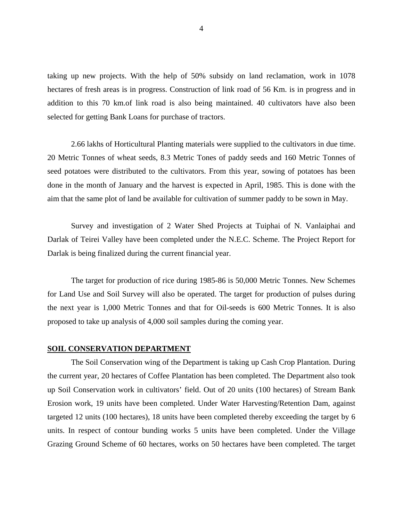taking up new projects. With the help of 50% subsidy on land reclamation, work in 1078 hectares of fresh areas is in progress. Construction of link road of 56 Km. is in progress and in addition to this 70 km.of link road is also being maintained. 40 cultivators have also been selected for getting Bank Loans for purchase of tractors.

2.66 lakhs of Horticultural Planting materials were supplied to the cultivators in due time. 20 Metric Tonnes of wheat seeds, 8.3 Metric Tones of paddy seeds and 160 Metric Tonnes of seed potatoes were distributed to the cultivators. From this year, sowing of potatoes has been done in the month of January and the harvest is expected in April, 1985. This is done with the aim that the same plot of land be available for cultivation of summer paddy to be sown in May.

Survey and investigation of 2 Water Shed Projects at Tuiphai of N. Vanlaiphai and Darlak of Teirei Valley have been completed under the N.E.C. Scheme. The Project Report for Darlak is being finalized during the current financial year.

The target for production of rice during 1985-86 is 50,000 Metric Tonnes. New Schemes for Land Use and Soil Survey will also be operated. The target for production of pulses during the next year is 1,000 Metric Tonnes and that for Oil-seeds is 600 Metric Tonnes. It is also proposed to take up analysis of 4,000 soil samples during the coming year.

#### **SOIL CONSERVATION DEPARTMENT**

 The Soil Conservation wing of the Department is taking up Cash Crop Plantation. During the current year, 20 hectares of Coffee Plantation has been completed. The Department also took up Soil Conservation work in cultivators' field. Out of 20 units (100 hectares) of Stream Bank Erosion work, 19 units have been completed. Under Water Harvesting/Retention Dam, against targeted 12 units (100 hectares), 18 units have been completed thereby exceeding the target by 6 units. In respect of contour bunding works 5 units have been completed. Under the Village Grazing Ground Scheme of 60 hectares, works on 50 hectares have been completed. The target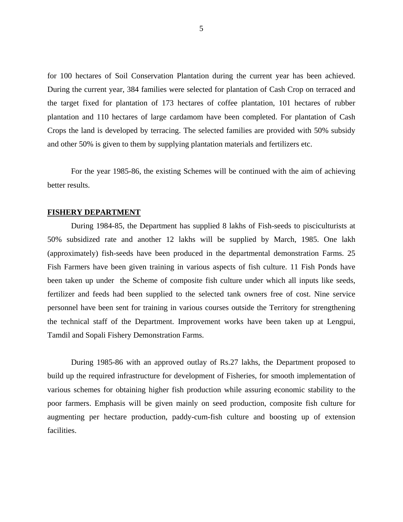for 100 hectares of Soil Conservation Plantation during the current year has been achieved. During the current year, 384 families were selected for plantation of Cash Crop on terraced and the target fixed for plantation of 173 hectares of coffee plantation, 101 hectares of rubber plantation and 110 hectares of large cardamom have been completed. For plantation of Cash Crops the land is developed by terracing. The selected families are provided with 50% subsidy and other 50% is given to them by supplying plantation materials and fertilizers etc.

For the year 1985-86, the existing Schemes will be continued with the aim of achieving better results.

#### **FISHERY DEPARTMENT**

 During 1984-85, the Department has supplied 8 lakhs of Fish-seeds to pisciculturists at 50% subsidized rate and another 12 lakhs will be supplied by March, 1985. One lakh (approximately) fish-seeds have been produced in the departmental demonstration Farms. 25 Fish Farmers have been given training in various aspects of fish culture. 11 Fish Ponds have been taken up under the Scheme of composite fish culture under which all inputs like seeds, fertilizer and feeds had been supplied to the selected tank owners free of cost. Nine service personnel have been sent for training in various courses outside the Territory for strengthening the technical staff of the Department. Improvement works have been taken up at Lengpui, Tamdil and Sopali Fishery Demonstration Farms.

During 1985-86 with an approved outlay of Rs.27 lakhs, the Department proposed to build up the required infrastructure for development of Fisheries, for smooth implementation of various schemes for obtaining higher fish production while assuring economic stability to the poor farmers. Emphasis will be given mainly on seed production, composite fish culture for augmenting per hectare production, paddy-cum-fish culture and boosting up of extension facilities.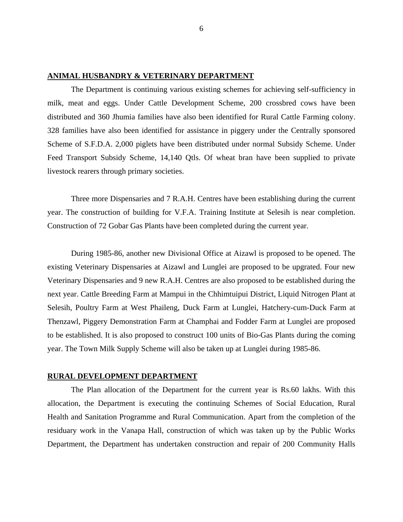## **ANIMAL HUSBANDRY & VETERINARY DEPARTMENT**

 The Department is continuing various existing schemes for achieving self-sufficiency in milk, meat and eggs. Under Cattle Development Scheme, 200 crossbred cows have been distributed and 360 Jhumia families have also been identified for Rural Cattle Farming colony. 328 families have also been identified for assistance in piggery under the Centrally sponsored Scheme of S.F.D.A. 2,000 piglets have been distributed under normal Subsidy Scheme. Under Feed Transport Subsidy Scheme, 14,140 Qtls. Of wheat bran have been supplied to private livestock rearers through primary societies.

Three more Dispensaries and 7 R.A.H. Centres have been establishing during the current year. The construction of building for V.F.A. Training Institute at Selesih is near completion. Construction of 72 Gobar Gas Plants have been completed during the current year.

During 1985-86, another new Divisional Office at Aizawl is proposed to be opened. The existing Veterinary Dispensaries at Aizawl and Lunglei are proposed to be upgrated. Four new Veterinary Dispensaries and 9 new R.A.H. Centres are also proposed to be established during the next year. Cattle Breeding Farm at Mampui in the Chhimtuipui District, Liquid Nitrogen Plant at Selesih, Poultry Farm at West Phaileng, Duck Farm at Lunglei, Hatchery-cum-Duck Farm at Thenzawl, Piggery Demonstration Farm at Champhai and Fodder Farm at Lunglei are proposed to be established. It is also proposed to construct 100 units of Bio-Gas Plants during the coming year. The Town Milk Supply Scheme will also be taken up at Lunglei during 1985-86.

#### **RURAL DEVELOPMENT DEPARTMENT**

 The Plan allocation of the Department for the current year is Rs.60 lakhs. With this allocation, the Department is executing the continuing Schemes of Social Education, Rural Health and Sanitation Programme and Rural Communication. Apart from the completion of the residuary work in the Vanapa Hall, construction of which was taken up by the Public Works Department, the Department has undertaken construction and repair of 200 Community Halls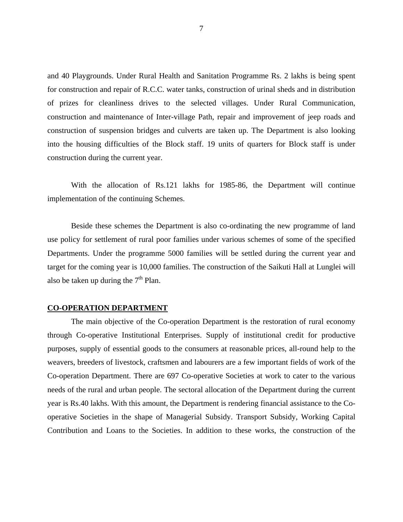and 40 Playgrounds. Under Rural Health and Sanitation Programme Rs. 2 lakhs is being spent for construction and repair of R.C.C. water tanks, construction of urinal sheds and in distribution of prizes for cleanliness drives to the selected villages. Under Rural Communication, construction and maintenance of Inter-village Path, repair and improvement of jeep roads and construction of suspension bridges and culverts are taken up. The Department is also looking into the housing difficulties of the Block staff. 19 units of quarters for Block staff is under construction during the current year.

With the allocation of Rs.121 lakhs for 1985-86, the Department will continue implementation of the continuing Schemes.

Beside these schemes the Department is also co-ordinating the new programme of land use policy for settlement of rural poor families under various schemes of some of the specified Departments. Under the programme 5000 families will be settled during the current year and target for the coming year is 10,000 families. The construction of the Saikuti Hall at Lunglei will also be taken up during the  $7<sup>th</sup>$  Plan.

#### **CO-OPERATION DEPARTMENT**

 The main objective of the Co-operation Department is the restoration of rural economy through Co-operative Institutional Enterprises. Supply of institutional credit for productive purposes, supply of essential goods to the consumers at reasonable prices, all-round help to the weavers, breeders of livestock, craftsmen and labourers are a few important fields of work of the Co-operation Department. There are 697 Co-operative Societies at work to cater to the various needs of the rural and urban people. The sectoral allocation of the Department during the current year is Rs.40 lakhs. With this amount, the Department is rendering financial assistance to the Cooperative Societies in the shape of Managerial Subsidy. Transport Subsidy, Working Capital Contribution and Loans to the Societies. In addition to these works, the construction of the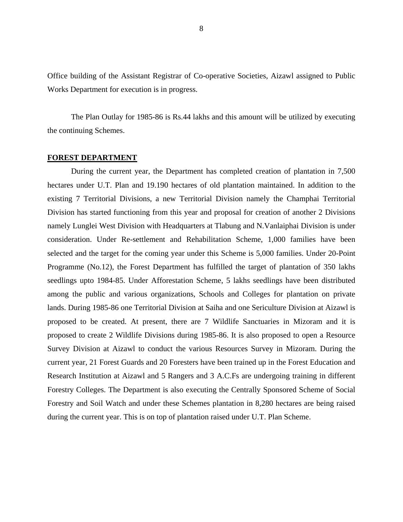Office building of the Assistant Registrar of Co-operative Societies, Aizawl assigned to Public Works Department for execution is in progress.

The Plan Outlay for 1985-86 is Rs.44 lakhs and this amount will be utilized by executing the continuing Schemes.

# **FOREST DEPARTMENT**

 During the current year, the Department has completed creation of plantation in 7,500 hectares under U.T. Plan and 19.190 hectares of old plantation maintained. In addition to the existing 7 Territorial Divisions, a new Territorial Division namely the Champhai Territorial Division has started functioning from this year and proposal for creation of another 2 Divisions namely Lunglei West Division with Headquarters at Tlabung and N.Vanlaiphai Division is under consideration. Under Re-settlement and Rehabilitation Scheme, 1,000 families have been selected and the target for the coming year under this Scheme is 5,000 families. Under 20-Point Programme (No.12), the Forest Department has fulfilled the target of plantation of 350 lakhs seedlings upto 1984-85. Under Afforestation Scheme, 5 lakhs seedlings have been distributed among the public and various organizations, Schools and Colleges for plantation on private lands. During 1985-86 one Territorial Division at Saiha and one Sericulture Division at Aizawl is proposed to be created. At present, there are 7 Wildlife Sanctuaries in Mizoram and it is proposed to create 2 Wildlife Divisions during 1985-86. It is also proposed to open a Resource Survey Division at Aizawl to conduct the various Resources Survey in Mizoram. During the current year, 21 Forest Guards and 20 Foresters have been trained up in the Forest Education and Research Institution at Aizawl and 5 Rangers and 3 A.C.Fs are undergoing training in different Forestry Colleges. The Department is also executing the Centrally Sponsored Scheme of Social Forestry and Soil Watch and under these Schemes plantation in 8,280 hectares are being raised during the current year. This is on top of plantation raised under U.T. Plan Scheme.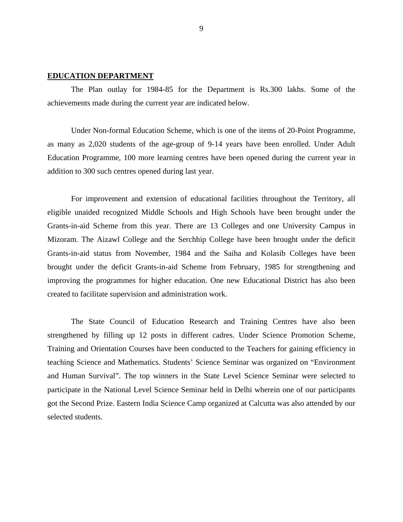# **EDUCATION DEPARTMENT**

 The Plan outlay for 1984-85 for the Department is Rs.300 lakhs. Some of the achievements made during the current year are indicated below.

Under Non-formal Education Scheme, which is one of the items of 20-Point Programme, as many as 2,020 students of the age-group of 9-14 years have been enrolled. Under Adult Education Programme, 100 more learning centres have been opened during the current year in addition to 300 such centres opened during last year.

For improvement and extension of educational facilities throughout the Territory, all eligible unaided recognized Middle Schools and High Schools have been brought under the Grants-in-aid Scheme from this year. There are 13 Colleges and one University Campus in Mizoram. The Aizawl College and the Serchhip College have been brought under the deficit Grants-in-aid status from November, 1984 and the Saiha and Kolasib Colleges have been brought under the deficit Grants-in-aid Scheme from February, 1985 for strengthening and improving the programmes for higher education. One new Educational District has also been created to facilitate supervision and administration work.

The State Council of Education Research and Training Centres have also been strengthened by filling up 12 posts in different cadres. Under Science Promotion Scheme, Training and Orientation Courses have been conducted to the Teachers for gaining efficiency in teaching Science and Mathematics. Students' Science Seminar was organized on "Environment and Human Survival". The top winners in the State Level Science Seminar were selected to participate in the National Level Science Seminar held in Delhi wherein one of our participants got the Second Prize. Eastern India Science Camp organized at Calcutta was also attended by our selected students.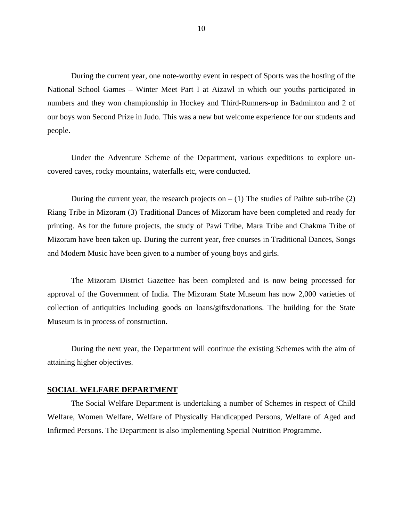During the current year, one note-worthy event in respect of Sports was the hosting of the National School Games – Winter Meet Part I at Aizawl in which our youths participated in numbers and they won championship in Hockey and Third-Runners-up in Badminton and 2 of our boys won Second Prize in Judo. This was a new but welcome experience for our students and people.

Under the Adventure Scheme of the Department, various expeditions to explore uncovered caves, rocky mountains, waterfalls etc, were conducted.

During the current year, the research projects on  $- (1)$  The studies of Paihte sub-tribe (2) Riang Tribe in Mizoram (3) Traditional Dances of Mizoram have been completed and ready for printing. As for the future projects, the study of Pawi Tribe, Mara Tribe and Chakma Tribe of Mizoram have been taken up. During the current year, free courses in Traditional Dances, Songs and Modern Music have been given to a number of young boys and girls.

The Mizoram District Gazettee has been completed and is now being processed for approval of the Government of India. The Mizoram State Museum has now 2,000 varieties of collection of antiquities including goods on loans/gifts/donations. The building for the State Museum is in process of construction.

During the next year, the Department will continue the existing Schemes with the aim of attaining higher objectives.

#### **SOCIAL WELFARE DEPARTMENT**

 The Social Welfare Department is undertaking a number of Schemes in respect of Child Welfare, Women Welfare, Welfare of Physically Handicapped Persons, Welfare of Aged and Infirmed Persons. The Department is also implementing Special Nutrition Programme.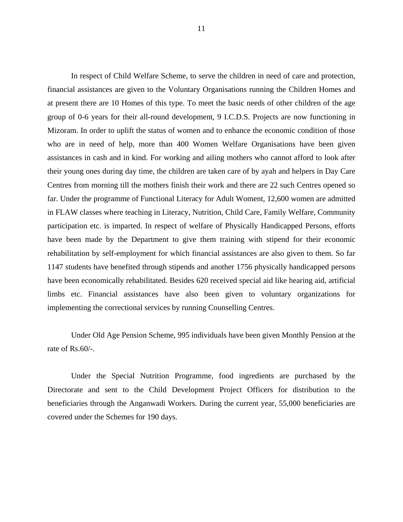In respect of Child Welfare Scheme, to serve the children in need of care and protection, financial assistances are given to the Voluntary Organisations running the Children Homes and at present there are 10 Homes of this type. To meet the basic needs of other children of the age group of 0-6 years for their all-round development, 9 I.C.D.S. Projects are now functioning in Mizoram. In order to uplift the status of women and to enhance the economic condition of those who are in need of help, more than 400 Women Welfare Organisations have been given assistances in cash and in kind. For working and ailing mothers who cannot afford to look after their young ones during day time, the children are taken care of by ayah and helpers in Day Care Centres from morning till the mothers finish their work and there are 22 such Centres opened so far. Under the programme of Functional Literacy for Adult Woment, 12,600 women are admitted in FLAW classes where teaching in Literacy, Nutrition, Child Care, Family Welfare, Community participation etc. is imparted. In respect of welfare of Physically Handicapped Persons, efforts have been made by the Department to give them training with stipend for their economic rehabilitation by self-employment for which financial assistances are also given to them. So far 1147 students have benefited through stipends and another 1756 physically handicapped persons have been economically rehabilitated. Besides 620 received special aid like hearing aid, artificial limbs etc. Financial assistances have also been given to voluntary organizations for implementing the correctional services by running Counselling Centres.

 Under Old Age Pension Scheme, 995 individuals have been given Monthly Pension at the rate of Rs.60/-.

Under the Special Nutrition Programme, food ingredients are purchased by the Directorate and sent to the Child Development Project Officers for distribution to the beneficiaries through the Anganwadi Workers. During the current year, 55,000 beneficiaries are covered under the Schemes for 190 days.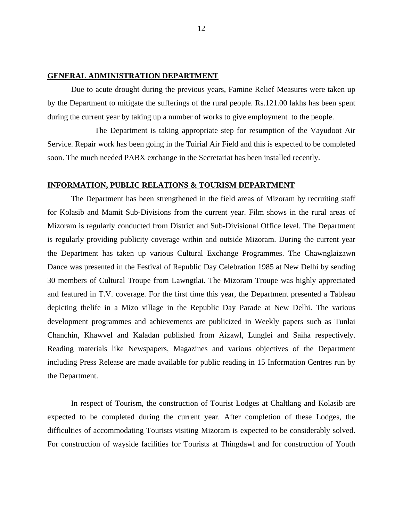# **GENERAL ADMINISTRATION DEPARTMENT**

 Due to acute drought during the previous years, Famine Relief Measures were taken up by the Department to mitigate the sufferings of the rural people. Rs.121.00 lakhs has been spent during the current year by taking up a number of works to give employment to the people.

 The Department is taking appropriate step for resumption of the Vayudoot Air Service. Repair work has been going in the Tuirial Air Field and this is expected to be completed soon. The much needed PABX exchange in the Secretariat has been installed recently.

# **INFORMATION, PUBLIC RELATIONS & TOURISM DEPARTMENT**

 The Department has been strengthened in the field areas of Mizoram by recruiting staff for Kolasib and Mamit Sub-Divisions from the current year. Film shows in the rural areas of Mizoram is regularly conducted from District and Sub-Divisional Office level. The Department is regularly providing publicity coverage within and outside Mizoram. During the current year the Department has taken up various Cultural Exchange Programmes. The Chawnglaizawn Dance was presented in the Festival of Republic Day Celebration 1985 at New Delhi by sending 30 members of Cultural Troupe from Lawngtlai. The Mizoram Troupe was highly appreciated and featured in T.V. coverage. For the first time this year, the Department presented a Tableau depicting thelife in a Mizo village in the Republic Day Parade at New Delhi. The various development programmes and achievements are publicized in Weekly papers such as Tunlai Chanchin, Khawvel and Kaladan published from Aizawl, Lunglei and Saiha respectively. Reading materials like Newspapers, Magazines and various objectives of the Department including Press Release are made available for public reading in 15 Information Centres run by the Department.

In respect of Tourism, the construction of Tourist Lodges at Chaltlang and Kolasib are expected to be completed during the current year. After completion of these Lodges, the difficulties of accommodating Tourists visiting Mizoram is expected to be considerably solved. For construction of wayside facilities for Tourists at Thingdawl and for construction of Youth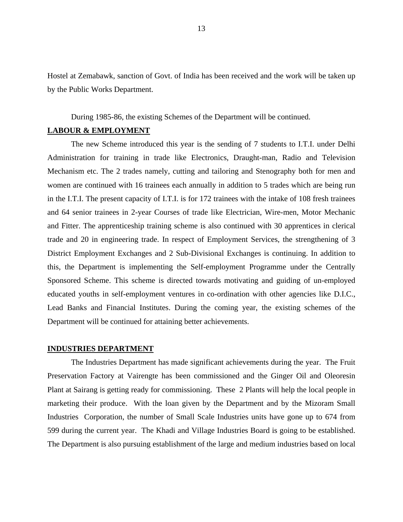Hostel at Zemabawk, sanction of Govt. of India has been received and the work will be taken up by the Public Works Department.

During 1985-86, the existing Schemes of the Department will be continued.

# **LABOUR & EMPLOYMENT**

 The new Scheme introduced this year is the sending of 7 students to I.T.I. under Delhi Administration for training in trade like Electronics, Draught-man, Radio and Television Mechanism etc. The 2 trades namely, cutting and tailoring and Stenography both for men and women are continued with 16 trainees each annually in addition to 5 trades which are being run in the I.T.I. The present capacity of I.T.I. is for 172 trainees with the intake of 108 fresh trainees and 64 senior trainees in 2-year Courses of trade like Electrician, Wire-men, Motor Mechanic and Fitter. The apprenticeship training scheme is also continued with 30 apprentices in clerical trade and 20 in engineering trade. In respect of Employment Services, the strengthening of 3 District Employment Exchanges and 2 Sub-Divisional Exchanges is continuing. In addition to this, the Department is implementing the Self-employment Programme under the Centrally Sponsored Scheme. This scheme is directed towards motivating and guiding of un-employed educated youths in self-employment ventures in co-ordination with other agencies like D.I.C., Lead Banks and Financial Institutes. During the coming year, the existing schemes of the Department will be continued for attaining better achievements.

#### **INDUSTRIES DEPARTMENT**

The Industries Department has made significant achievements during the year. The Fruit Preservation Factory at Vairengte has been commissioned and the Ginger Oil and Oleoresin Plant at Sairang is getting ready for commissioning. These 2 Plants will help the local people in marketing their produce. With the loan given by the Department and by the Mizoram Small Industries Corporation, the number of Small Scale Industries units have gone up to 674 from 599 during the current year. The Khadi and Village Industries Board is going to be established. The Department is also pursuing establishment of the large and medium industries based on local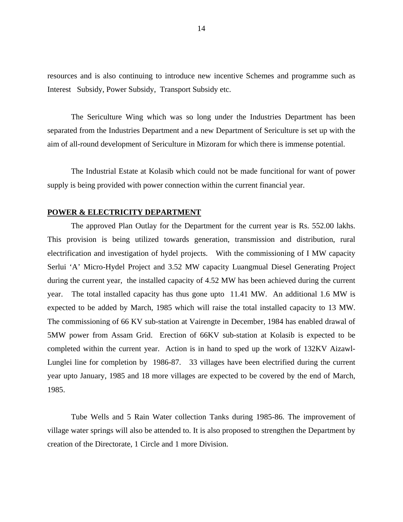resources and is also continuing to introduce new incentive Schemes and programme such as Interest Subsidy, Power Subsidy, Transport Subsidy etc.

 The Sericulture Wing which was so long under the Industries Department has been separated from the Industries Department and a new Department of Sericulture is set up with the aim of all-round development of Sericulture in Mizoram for which there is immense potential.

The Industrial Estate at Kolasib which could not be made funcitional for want of power supply is being provided with power connection within the current financial year.

#### **POWER & ELECTRICITY DEPARTMENT**

The approved Plan Outlay for the Department for the current year is Rs. 552.00 lakhs. This provision is being utilized towards generation, transmission and distribution, rural electrification and investigation of hydel projects. With the commissioning of I MW capacity Serlui 'A' Micro-Hydel Project and 3.52 MW capacity Luangmual Diesel Generating Project during the current year, the installed capacity of 4.52 MW has been achieved during the current year. The total installed capacity has thus gone upto 11.41 MW. An additional 1.6 MW is expected to be added by March, 1985 which will raise the total installed capacity to 13 MW. The commissioning of 66 KV sub-station at Vairengte in December, 1984 has enabled drawal of 5MW power from Assam Grid. Erection of 66KV sub-station at Kolasib is expected to be completed within the current year. Action is in hand to sped up the work of 132KV Aizawl-Lunglei line for completion by 1986-87. 33 villages have been electrified during the current year upto January, 1985 and 18 more villages are expected to be covered by the end of March, 1985.

Tube Wells and 5 Rain Water collection Tanks during 1985-86. The improvement of village water springs will also be attended to. It is also proposed to strengthen the Department by creation of the Directorate, 1 Circle and 1 more Division.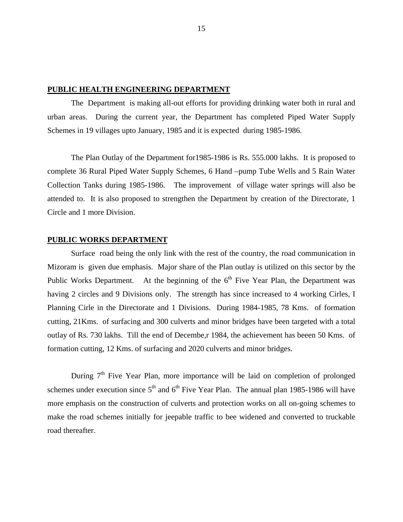#### **PUBLIC HEALTH ENGINEERING DEPARTMENT**

The Department is making all-out efforts for providing drinking water both in rural and urban areas. During the current year, the Department has completed Piped Water Supply Schemes in 19 villages upto January, 1985 and it is expected during 1985-1986.

The Plan Outlay of the Department for1985-1986 is Rs. 555.000 lakhs. It is proposed to complete 36 Rural Piped Water Supply Schemes, 6 Hand –pump Tube Wells and 5 Rain Water Collection Tanks during 1985-1986. The improvement of village water springs will also be attended to. It is also proposed to strengthen the Department by creation of the Directorate, 1 Circle and 1 more Division.

#### **PUBLIC WORKS DEPARTMENT**

Surface road being the only link with the rest of the country, the road communication in Mizoram is given due emphasis. Major share of the Plan outlay is utilized on this sector by the Public Works Department. At the beginning of the  $6<sup>th</sup>$  Five Year Plan, the Department was having 2 circles and 9 Divisions only. The strength has since increased to 4 working Cirles, I Planning Cirle in the Directorate and 1 Divisions. During 1984-1985, 78 Kms. of formation cutting, 21Kms. of surfacing and 300 culverts and minor bridges have been targeted with a total outlay of Rs. 730 lakhs. Till the end of Decembe,r 1984, the achievement has beeen 50 Kms. of formation cutting, 12 Kms. of surfacing and 2020 culverts and minor bridges.

During  $7<sup>th</sup>$  Five Year Plan, more importance will be laid on completion of prolonged schemes under execution since  $5<sup>th</sup>$  and  $6<sup>th</sup>$  Five Year Plan. The annual plan 1985-1986 will have more emphasis on the construction of culverts and protection works on all on-going schemes to make the road schemes initially for jeepable traffic to bee widened and converted to truckable road thereafter.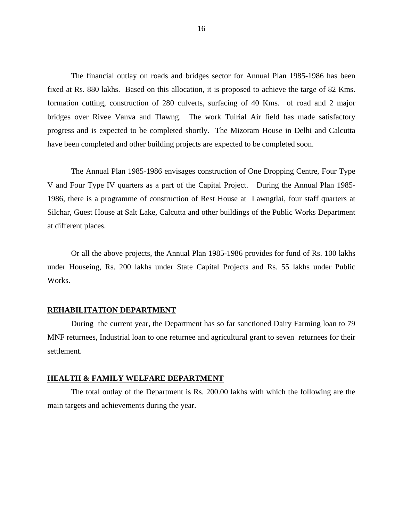The financial outlay on roads and bridges sector for Annual Plan 1985-1986 has been fixed at Rs. 880 lakhs. Based on this allocation, it is proposed to achieve the targe of 82 Kms. formation cutting, construction of 280 culverts, surfacing of 40 Kms. of road and 2 major bridges over Rivee Vanva and Tlawng. The work Tuirial Air field has made satisfactory progress and is expected to be completed shortly. The Mizoram House in Delhi and Calcutta have been completed and other building projects are expected to be completed soon.

The Annual Plan 1985-1986 envisages construction of One Dropping Centre, Four Type V and Four Type IV quarters as a part of the Capital Project. During the Annual Plan 1985- 1986, there is a programme of construction of Rest House at Lawngtlai, four staff quarters at Silchar, Guest House at Salt Lake, Calcutta and other buildings of the Public Works Department at different places.

Or all the above projects, the Annual Plan 1985-1986 provides for fund of Rs. 100 lakhs under Houseing, Rs. 200 lakhs under State Capital Projects and Rs. 55 lakhs under Public Works.

#### **REHABILITATION DEPARTMENT**

During the current year, the Department has so far sanctioned Dairy Farming loan to 79 MNF returnees, Industrial loan to one returnee and agricultural grant to seven returnees for their settlement.

#### **HEALTH & FAMILY WELFARE DEPARTMENT**

The total outlay of the Department is Rs. 200.00 lakhs with which the following are the main targets and achievements during the year.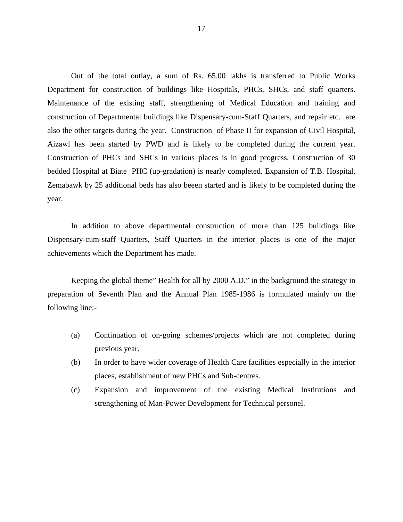Out of the total outlay, a sum of Rs. 65.00 lakhs is transferred to Public Works Department for construction of buildings like Hospitals, PHCs, SHCs, and staff quarters. Maintenance of the existing staff, strengthening of Medical Education and training and construction of Departmental buildings like Dispensary-cum-Staff Quarters, and repair etc. are also the other targets during the year. Construction of Phase II for expansion of Civil Hospital, Aizawl has been started by PWD and is likely to be completed during the current year. Construction of PHCs and SHCs in various places is in good progress. Construction of 30 bedded Hospital at Biate PHC (up-gradation) is nearly completed. Expansion of T.B. Hospital, Zemabawk by 25 additional beds has also beeen started and is likely to be completed during the year.

In addition to above departmental construction of more than 125 buildings like Dispensary-cum-staff Quarters, Staff Quarters in the interior places is one of the major achievements which the Department has made.

Keeping the global theme" Health for all by 2000 A.D." in the background the strategy in preparation of Seventh Plan and the Annual Plan 1985-1986 is formulated mainly on the following line:-

- (a) Continuation of on-going schemes/projects which are not completed during previous year.
- (b) In order to have wider coverage of Health Care facilities especially in the interior places, establishment of new PHCs and Sub-centres.
- (c) Expansion and improvement of the existing Medical Institutions and strengthening of Man-Power Development for Technical personel.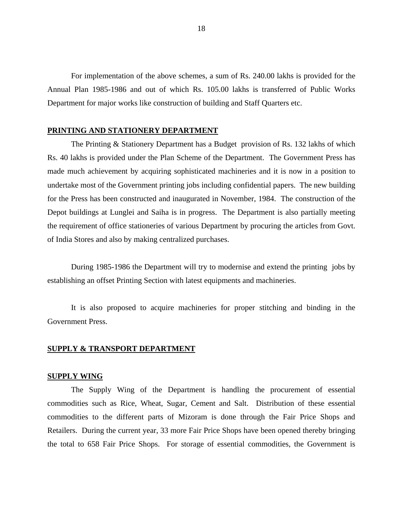For implementation of the above schemes, a sum of Rs. 240.00 lakhs is provided for the Annual Plan 1985-1986 and out of which Rs. 105.00 lakhs is transferred of Public Works Department for major works like construction of building and Staff Quarters etc.

#### **PRINTING AND STATIONERY DEPARTMENT**

The Printing & Stationery Department has a Budget provision of Rs. 132 lakhs of which Rs. 40 lakhs is provided under the Plan Scheme of the Department. The Government Press has made much achievement by acquiring sophisticated machineries and it is now in a position to undertake most of the Government printing jobs including confidential papers. The new building for the Press has been constructed and inaugurated in November, 1984. The construction of the Depot buildings at Lunglei and Saiha is in progress. The Department is also partially meeting the requirement of office stationeries of various Department by procuring the articles from Govt. of India Stores and also by making centralized purchases.

During 1985-1986 the Department will try to modernise and extend the printing jobs by establishing an offset Printing Section with latest equipments and machineries.

It is also proposed to acquire machineries for proper stitching and binding in the Government Press.

## **SUPPLY & TRANSPORT DEPARTMENT**

#### **SUPPLY WING**

The Supply Wing of the Department is handling the procurement of essential commodities such as Rice, Wheat, Sugar, Cement and Salt. Distribution of these essential commodities to the different parts of Mizoram is done through the Fair Price Shops and Retailers. During the current year, 33 more Fair Price Shops have been opened thereby bringing the total to 658 Fair Price Shops. For storage of essential commodities, the Government is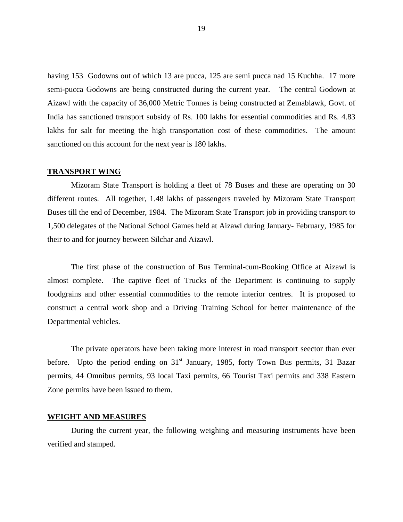having 153 Godowns out of which 13 are pucca, 125 are semi pucca nad 15 Kuchha. 17 more semi-pucca Godowns are being constructed during the current year. The central Godown at Aizawl with the capacity of 36,000 Metric Tonnes is being constructed at Zemablawk, Govt. of India has sanctioned transport subsidy of Rs. 100 lakhs for essential commodities and Rs. 4.83 lakhs for salt for meeting the high transportation cost of these commodities. The amount sanctioned on this account for the next year is 180 lakhs.

#### **TRANSPORT WING**

Mizoram State Transport is holding a fleet of 78 Buses and these are operating on 30 different routes. All together, 1.48 lakhs of passengers traveled by Mizoram State Transport Buses till the end of December, 1984. The Mizoram State Transport job in providing transport to 1,500 delegates of the National School Games held at Aizawl during January- February, 1985 for their to and for journey between Silchar and Aizawl.

The first phase of the construction of Bus Terminal-cum-Booking Office at Aizawl is almost complete. The captive fleet of Trucks of the Department is continuing to supply foodgrains and other essential commodities to the remote interior centres. It is proposed to construct a central work shop and a Driving Training School for better maintenance of the Departmental vehicles.

The private operators have been taking more interest in road transport seector than ever before. Upto the period ending on  $31<sup>st</sup>$  January, 1985, forty Town Bus permits, 31 Bazar permits, 44 Omnibus permits, 93 local Taxi permits, 66 Tourist Taxi permits and 338 Eastern Zone permits have been issued to them.

#### **WEIGHT AND MEASURES**

During the current year, the following weighing and measuring instruments have been verified and stamped.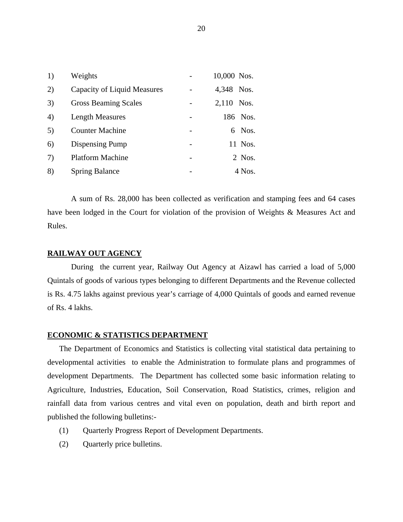| 1) | Weights                     | 10,000 Nos.   |
|----|-----------------------------|---------------|
| 2) | Capacity of Liquid Measures | 4,348 Nos.    |
| 3) | <b>Gross Beaming Scales</b> | 2,110<br>Nos. |
| 4) | <b>Length Measures</b>      | 186 Nos.      |
| 5) | <b>Counter Machine</b>      | Nos.<br>6.    |
| 6) | Dispensing Pump             | 11 Nos.       |
| 7) | <b>Platform Machine</b>     | 2 Nos.        |
| 8) | <b>Spring Balance</b>       | 4 Nos.        |

 A sum of Rs. 28,000 has been collected as verification and stamping fees and 64 cases have been lodged in the Court for violation of the provision of Weights & Measures Act and Rules.

# **RAILWAY OUT AGENCY**

During the current year, Railway Out Agency at Aizawl has carried a load of 5,000 Quintals of goods of various types belonging to different Departments and the Revenue collected is Rs. 4.75 lakhs against previous year's carriage of 4,000 Quintals of goods and earned revenue of Rs. 4 lakhs.

# **ECONOMIC & STATISTICS DEPARTMENT**

The Department of Economics and Statistics is collecting vital statistical data pertaining to developmental activities to enable the Administration to formulate plans and programmes of development Departments. The Department has collected some basic information relating to Agriculture, Industries, Education, Soil Conservation, Road Statistics, crimes, religion and rainfall data from various centres and vital even on population, death and birth report and published the following bulletins:-

- (1) Quarterly Progress Report of Development Departments.
- (2) Quarterly price bulletins.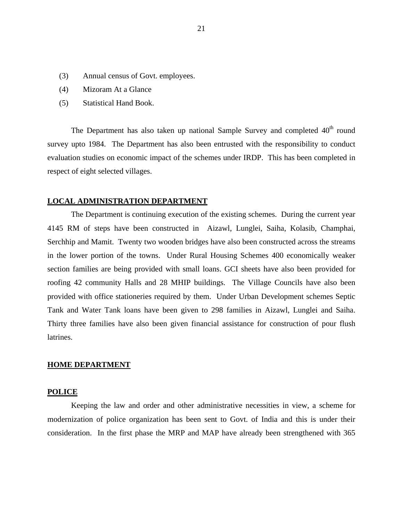- (3) Annual census of Govt. employees.
- (4) Mizoram At a Glance
- (5) Statistical Hand Book.

The Department has also taken up national Sample Survey and completed  $40<sup>th</sup>$  round survey upto 1984. The Department has also been entrusted with the responsibility to conduct evaluation studies on economic impact of the schemes under IRDP. This has been completed in respect of eight selected villages.

# **LOCAL ADMINISTRATION DEPARTMENT**

The Department is continuing execution of the existing schemes. During the current year 4145 RM of steps have been constructed in Aizawl, Lunglei, Saiha, Kolasib, Champhai, Serchhip and Mamit. Twenty two wooden bridges have also been constructed across the streams in the lower portion of the towns. Under Rural Housing Schemes 400 economically weaker section families are being provided with small loans. GCI sheets have also been provided for roofing 42 community Halls and 28 MHIP buildings. The Village Councils have also been provided with office stationeries required by them. Under Urban Development schemes Septic Tank and Water Tank loans have been given to 298 families in Aizawl, Lunglei and Saiha. Thirty three families have also been given financial assistance for construction of pour flush latrines.

#### **HOME DEPARTMENT**

#### **POLICE**

Keeping the law and order and other administrative necessities in view, a scheme for modernization of police organization has been sent to Govt. of India and this is under their consideration. In the first phase the MRP and MAP have already been strengthened with 365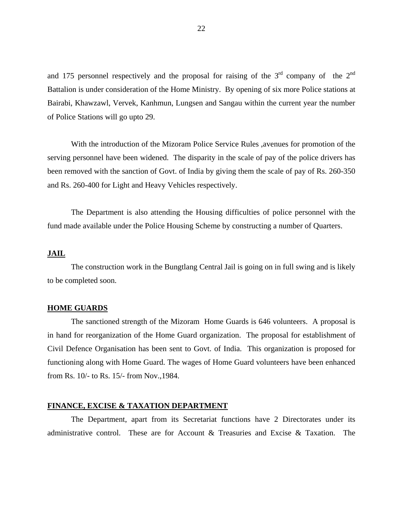and 175 personnel respectively and the proposal for raising of the  $3<sup>rd</sup>$  company of the  $2<sup>nd</sup>$ Battalion is under consideration of the Home Ministry. By opening of six more Police stations at Bairabi, Khawzawl, Vervek, Kanhmun, Lungsen and Sangau within the current year the number of Police Stations will go upto 29.

With the introduction of the Mizoram Police Service Rules ,avenues for promotion of the serving personnel have been widened. The disparity in the scale of pay of the police drivers has been removed with the sanction of Govt. of India by giving them the scale of pay of Rs. 260-350 and Rs. 260-400 for Light and Heavy Vehicles respectively.

The Department is also attending the Housing difficulties of police personnel with the fund made available under the Police Housing Scheme by constructing a number of Quarters.

# **JAIL**

 The construction work in the Bungtlang Central Jail is going on in full swing and is likely to be completed soon.

#### **HOME GUARDS**

The sanctioned strength of the Mizoram Home Guards is 646 volunteers. A proposal is in hand for reorganization of the Home Guard organization. The proposal for establishment of Civil Defence Organisation has been sent to Govt. of India. This organization is proposed for functioning along with Home Guard. The wages of Home Guard volunteers have been enhanced from Rs. 10/- to Rs. 15/- from Nov.,1984.

### **FINANCE, EXCISE & TAXATION DEPARTMENT**

The Department, apart from its Secretariat functions have 2 Directorates under its administrative control. These are for Account & Treasuries and Excise & Taxation. The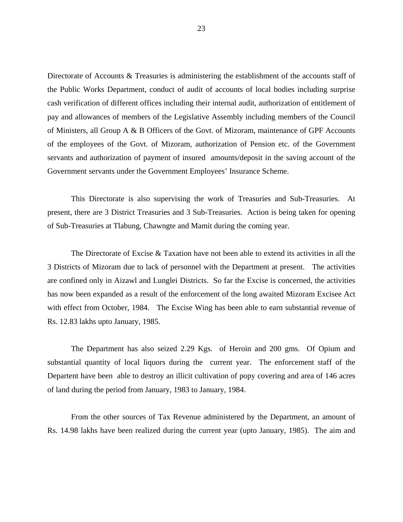Directorate of Accounts & Treasuries is administering the establishment of the accounts staff of the Public Works Department, conduct of audit of accounts of local bodies including surprise cash verification of different offices including their internal audit, authorization of entitlement of pay and allowances of members of the Legislative Assembly including members of the Council of Ministers, all Group A & B Officers of the Govt. of Mizoram, maintenance of GPF Accounts of the employees of the Govt. of Mizoram, authorization of Pension etc. of the Government servants and authorization of payment of insured amounts/deposit in the saving account of the Government servants under the Government Employees' Insurance Scheme.

 This Directorate is also supervising the work of Treasuries and Sub-Treasuries. At present, there are 3 District Treasuries and 3 Sub-Treasuries. Action is being taken for opening of Sub-Treasuries at Tlabung, Chawngte and Mamit during the coming year.

The Directorate of Excise & Taxation have not been able to extend its activities in all the 3 Districts of Mizoram due to lack of personnel with the Department at present. The activities are confined only in Aizawl and Lunglei Districts. So far the Excise is concerned, the activities has now been expanded as a result of the enforcement of the long awaited Mizoram Excisee Act with effect from October, 1984. The Excise Wing has been able to earn substantial revenue of Rs. 12.83 lakhs upto January, 1985.

The Department has also seized 2.29 Kgs. of Heroin and 200 gms. Of Opium and substantial quantity of local liquors during the current year. The enforcement staff of the Departent have been able to destroy an illicit cultivation of popy covering and area of 146 acres of land during the period from January, 1983 to January, 1984.

From the other sources of Tax Revenue administered by the Department, an amount of Rs. 14.98 lakhs have been realized during the current year (upto January, 1985). The aim and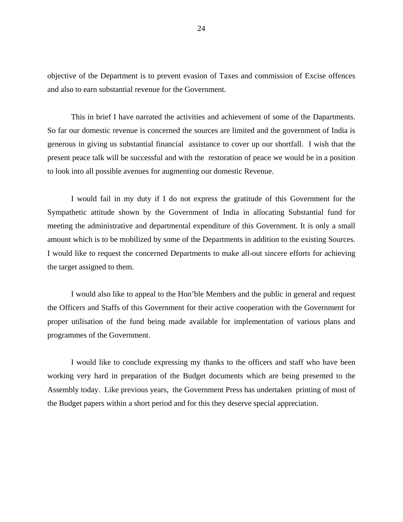objective of the Department is to prevent evasion of Taxes and commission of Excise offences and also to earn substantial revenue for the Government.

This in brief I have narrated the activities and achievement of some of the Dapartments. So far our domestic revenue is concerned the sources are limited and the government of India is generous in giving us substantial financial assistance to cover up our shortfall. I wish that the present peace talk will be successful and with the restoration of peace we would be in a position to look into all possible avenues for augmenting our domestic Revenue.

I would fail in my duty if I do not express the gratitude of this Government for the Sympathetic attitude shown by the Government of India in allocating Substantial fund for meeting the administrative and departmental expenditure of this Government. It is only a small amount which is to be mobilized by some of the Departments in addition to the existing Sources. I would like to request the concerned Departments to make all-out sincere efforts for achieving the target assigned to them.

I would also like to appeal to the Hon'ble Members and the public in general and request the Officers and Staffs of this Government for their active cooperation with the Government for proper utilisation of the fund being made available for implementation of various plans and programmes of the Government.

I would like to conclude expressing my thanks to the officers and staff who have been working very hard in preparation of the Budget documents which are being presented to the Assembly today. Like previous years, the Government Press has undertaken printing of most of the Budget papers within a short period and for this they deserve special appreciation.